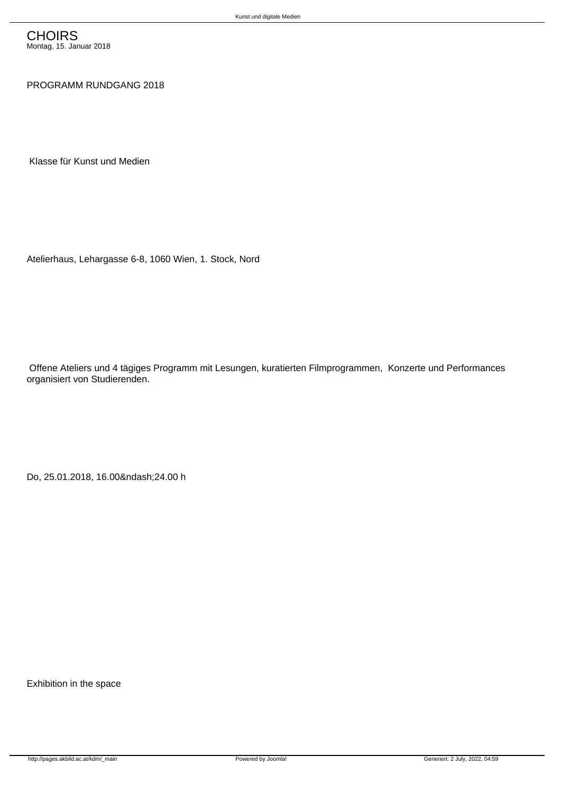## PROGRAMM RUNDGANG 2018

Klasse für Kunst und Medien

Atelierhaus, Lehargasse 6-8, 1060 Wien, 1. Stock, Nord

 Offene Ateliers und 4 tägiges Programm mit Lesungen, kuratierten Filmprogrammen, Konzerte und Performances organisiert von Studierenden.

Do, 25.01.2018, 16.00–24.00 h

Exhibition in the space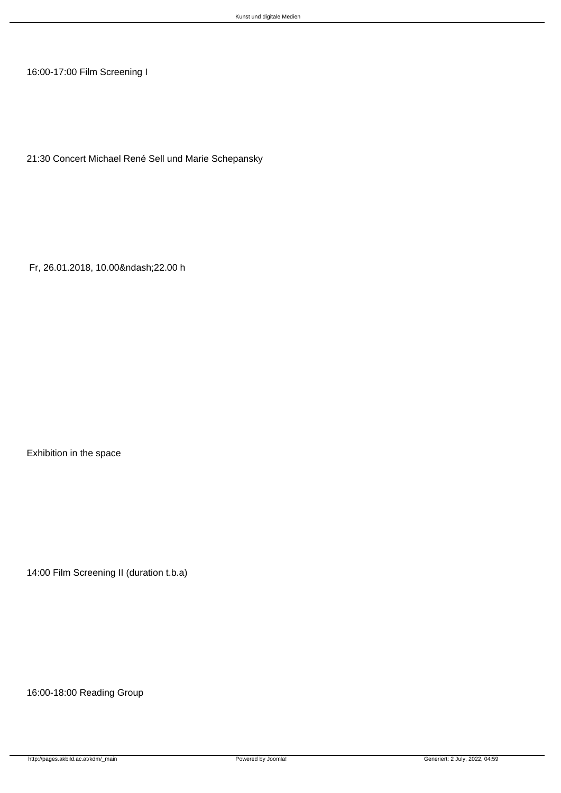16:00-17:00 Film Screening I

21:30 Concert Michael René Sell und Marie Schepansky

Fr, 26.01.2018, 10.00–22.00 h

Exhibition in the space

14:00 Film Screening II (duration t.b.a)

16:00-18:00 Reading Group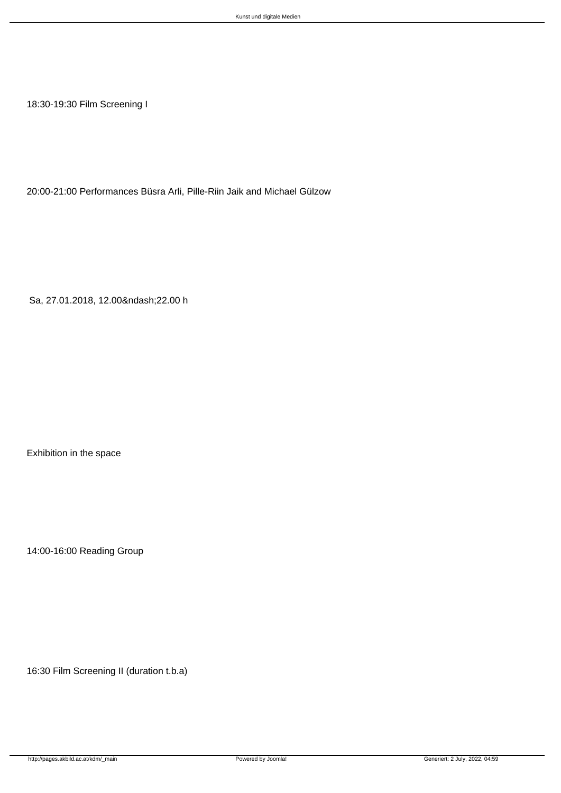18:30-19:30 Film Screening I

20:00-21:00 Performances Büsra Arli, Pille-Riin Jaik and Michael Gülzow

Sa, 27.01.2018, 12.00–22.00 h

Exhibition in the space

14:00-16:00 Reading Group

16:30 Film Screening II (duration t.b.a)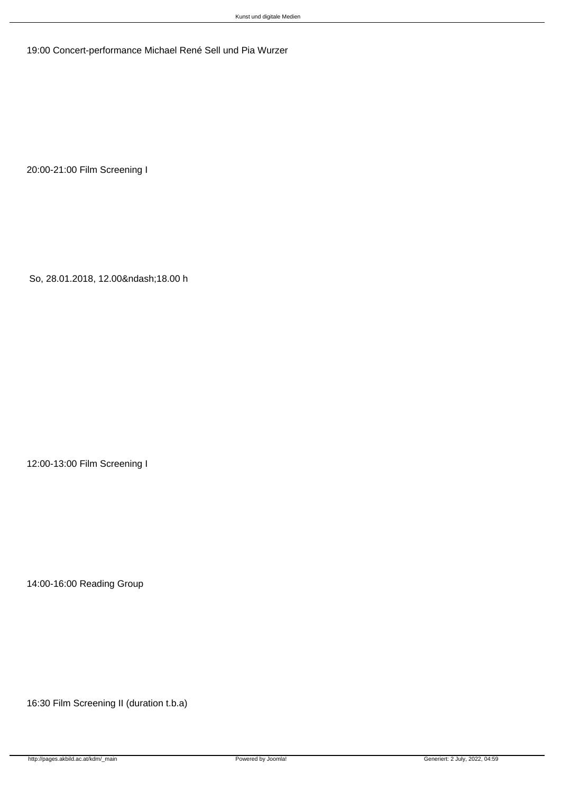19:00 Concert-performance Michael René Sell und Pia Wurzer

20:00-21:00 Film Screening I

So, 28.01.2018, 12.00–18.00 h

12:00-13:00 Film Screening I

14:00-16:00 Reading Group

16:30 Film Screening II (duration t.b.a)